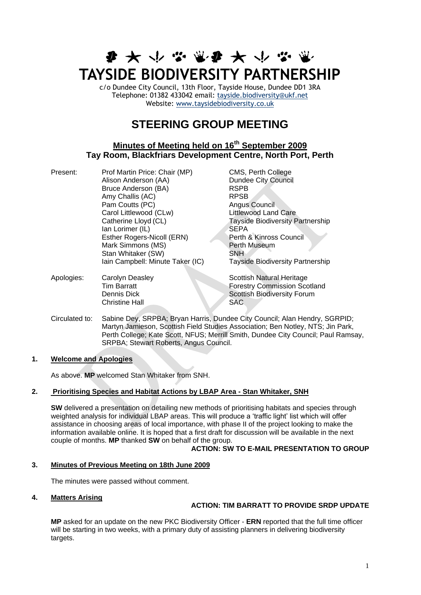# **まみやなまみみかなく TAYSIDE BIODIVERSITY PARTNERSHIP**

c/o Dundee City Council, 13th Floor, Tayside House, Dundee DD1 3RA Telephone: 01382 433042 email: [tayside.biodiversity@ukf.net](mailto:tayside.biodiversity@ukf.net)  Website: [www.taysidebiodiversity.co.uk](http://www.taysidebiodiversity.co.uk/)

# **STEERING GROUP MEETING**

## **Minutes of Meeting held on 16th September 2009 Tay Room, Blackfriars Development Centre, North Port, Perth**

| Present: | Prof Martin Price: Chair (MP)    | CMS, Perth College                      |
|----------|----------------------------------|-----------------------------------------|
|          | Alison Anderson (AA)             | <b>Dundee City Council</b>              |
|          | Bruce Anderson (BA)              | <b>RSPB</b>                             |
|          | Amy Challis (AC)                 | <b>RPSB</b>                             |
|          | Pam Coutts (PC)                  | Angus Council                           |
|          | Carol Littlewood (CLw)           | <b>Littlewood Land Care</b>             |
|          | Catherine Lloyd (CL)             | <b>Tayside Biodiversity Partnership</b> |
|          | lan Lorimer (IL)                 | <b>SEPA</b>                             |
|          | Esther Rogers-Nicoll (ERN)       | Perth & Kinross Council                 |
|          | Mark Simmons (MS)                | Perth Museum                            |
|          | Stan Whitaker (SW)               | <b>SNH</b>                              |
|          | Iain Campbell: Minute Taker (IC) | <b>Tayside Biodiversity Partnership</b> |
|          |                                  |                                         |

- Apologies: Carolyn Deasley Scottish Natural Heritage **Tim Barratt Forestry Commission Scotland Dennis Dick Scottish Biodiversity Forum** Christine Hall SAC
- Circulated to: Sabine Dey, SRPBA; Bryan Harris, Dundee City Council; Alan Hendry, SGRPID; Martyn Jamieson, Scottish Field Studies Association; Ben Notley, NTS; Jin Park, Perth College; Kate Scott, NFUS; Merrill Smith, Dundee City Council; Paul Ramsay, SRPBA; Stewart Roberts, Angus Council.

#### **1. Welcome and Apologies**

As above. **MP** welcomed Stan Whitaker from SNH.

#### **2. Prioritising Species and Habitat Actions by LBAP Area - Stan Whitaker, SNH**

**SW** delivered a presentation on detailing new methods of prioritising habitats and species through weighted analysis for individual LBAP areas. This will produce a 'traffic light' list which will offer assistance in choosing areas of local importance, with phase II of the project looking to make the information available online. It is hoped that a first draft for discussion will be available in the next couple of months. **MP** thanked **SW** on behalf of the group.

#### **ACTION: SW TO E-MAIL PRESENTATION TO GROUP**

#### **3. Minutes of Previous Meeting on 18th June 2009**

The minutes were passed without comment.

#### **4. Matters Arising**

#### **ACTION: TIM BARRATT TO PROVIDE SRDP UPDATE**

**MP** asked for an update on the new PKC Biodiversity Officer - **ERN** reported that the full time officer will be starting in two weeks, with a primary duty of assisting planners in delivering biodiversity targets.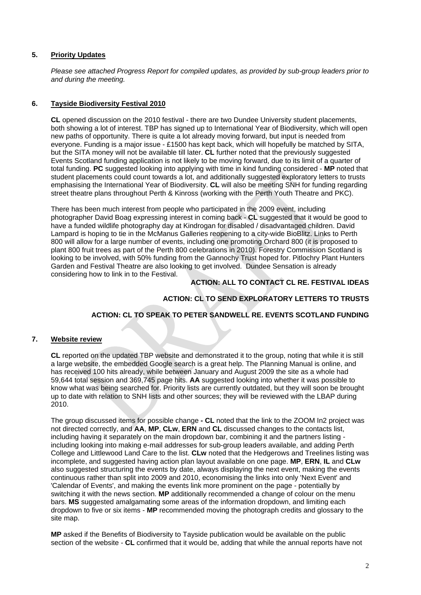#### **5. Priority Updates**

*Please see attached Progress Report for compiled updates, as provided by sub-group leaders prior to and during the meeting.*

#### **6. Tayside Biodiversity Festival 2010**

**CL** opened discussion on the 2010 festival - there are two Dundee University student placements, both showing a lot of interest. TBP has signed up to International Year of Biodiversity, which will open new paths of opportunity. There is quite a lot already moving forward, but input is needed from everyone. Funding is a major issue - £1500 has kept back, which will hopefully be matched by SITA, but the SITA money will not be available till later. **CL** further noted that the previously suggested Events Scotland funding application is not likely to be moving forward, due to its limit of a quarter of total funding. **PC** suggested looking into applying with time in kind funding considered - **MP** noted that student placements could count towards a lot, and additionally suggested exploratory letters to trusts emphasising the International Year of Biodiversity. **CL** will also be meeting SNH for funding regarding street theatre plans throughout Perth & Kinross (working with the Perth Youth Theatre and PKC).

There has been much interest from people who participated in the 2009 event, including photographer David Boag expressing interest in coming back - **CL** suggested that it would be good to have a funded wildlife photography day at Kindrogan for disabled / disadvantaged children. David Lampard is hoping to tie in the McManus Galleries reopening to a city-wide BioBlitz. Links to Perth 800 will allow for a large number of events, including one promoting Orchard 800 (it is proposed to plant 800 fruit trees as part of the Perth 800 celebrations in 2010). Forestry Commission Scotland is looking to be involved, with 50% funding from the Gannochy Trust hoped for. Pitlochry Plant Hunters Garden and Festival Theatre are also looking to get involved. Dundee Sensation is already considering how to link in to the Festival.

#### **ACTION: ALL TO CONTACT CL RE. FESTIVAL IDEAS**

#### **ACTION: CL TO SEND EXPLORATORY LETTERS TO TRUSTS**

#### **ACTION: CL TO SPEAK TO PETER SANDWELL RE. EVENTS SCOTLAND FUNDING**

#### **7. Website review**

**CL** reported on the updated TBP website and demonstrated it to the group, noting that while it is still a large website, the embedded Google search is a great help. The Planning Manual is online, and has received 100 hits already, while between January and August 2009 the site as a whole had 59,644 total session and 369,745 page hits. **AA** suggested looking into whether it was possible to know what was being searched for. Priority lists are currently outdated, but they will soon be brought up to date with relation to SNH lists and other sources; they will be reviewed with the LBAP during 2010.

The group discussed items for possible change **- CL** noted that the link to the ZOOM In2 project was not directed correctly, and **AA**, **MP**, **CLw**, **ERN** and **CL** discussed changes to the contacts list, including having it separately on the main dropdown bar, combining it and the partners listing including looking into making e-mail addresses for sub-group leaders available, and adding Perth College and Littlewood Land Care to the list. **CLw** noted that the Hedgerows and Treelines listing was incomplete, and suggested having action plan layout available on one page. **MP**, **ERN**, **IL** and **CLw** also suggested structuring the events by date, always displaying the next event, making the events continuous rather than split into 2009 and 2010, economising the links into only 'Next Event' and 'Calendar of Events', and making the events link more prominent on the page - potentially by switching it with the news section. **MP** additionally recommended a change of colour on the menu bars. **MS** suggested amalgamating some areas of the information dropdown, and limiting each dropdown to five or six items - **MP** recommended moving the photograph credits and glossary to the site map.

**MP** asked if the Benefits of Biodiversity to Tayside publication would be available on the public section of the website - **CL** confirmed that it would be, adding that while the annual reports have not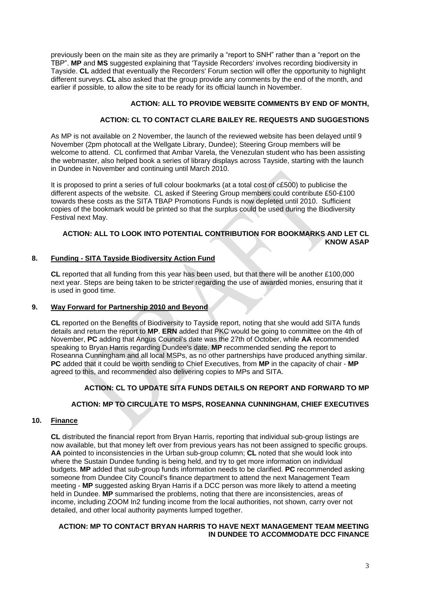previously been on the main site as they are primarily a "report to SNH" rather than a "report on the TBP". **MP** and **MS** suggested explaining that 'Tayside Recorders' involves recording biodiversity in Tayside. **CL** added that eventually the Recorders' Forum section will offer the opportunity to highlight different surveys. **CL** also asked that the group provide any comments by the end of the month, and earlier if possible, to allow the site to be ready for its official launch in November.

#### **ACTION: ALL TO PROVIDE WEBSITE COMMENTS BY END OF MONTH,**

#### **ACTION: CL TO CONTACT CLARE BAILEY RE. REQUESTS AND SUGGESTIONS**

As MP is not available on 2 November, the launch of the reviewed website has been delayed until 9 November (2pm photocall at the Wellgate Library, Dundee); Steering Group members will be welcome to attend. CL confirmed that Ambar Varela, the Venezulan student who has been assisting the webmaster, also helped book a series of library displays across Tayside, starting with the launch in Dundee in November and continuing until March 2010.

It is proposed to print a series of full colour bookmarks (at a total cost of c£500) to publicise the different aspects of the website. CL asked if Steering Group members could contribute £50-£100 towards these costs as the SITA TBAP Promotions Funds is now depleted until 2010. Sufficient copies of the bookmark would be printed so that the surplus could be used during the Biodiversity Festival next May.

### **ACTION: ALL TO LOOK INTO POTENTIAL CONTRIBUTION FOR BOOKMARKS AND LET CL KNOW ASAP**

#### **8. Funding - SITA Tayside Biodiversity Action Fund**

**CL** reported that all funding from this year has been used, but that there will be another £100,000 next year. Steps are being taken to be stricter regarding the use of awarded monies, ensuring that it is used in good time.

#### **9. Way Forward for Partnership 2010 and Beyond**

**CL** reported on the Benefits of Biodiversity to Tayside report, noting that she would add SITA funds details and return the report to **MP**. **ERN** added that PKC would be going to committee on the 4th of November, **PC** adding that Angus Council's date was the 27th of October, while **AA** recommended speaking to Bryan Harris regarding Dundee's date. **MP** recommended sending the report to Roseanna Cunningham and all local MSPs, as no other partnerships have produced anything similar. **PC** added that it could be worth sending to Chief Executives, from **MP** in the capacity of chair - **MP** agreed to this, and recommended also delivering copies to MPs and SITA.

#### **ACTION: CL TO UPDATE SITA FUNDS DETAILS ON REPORT AND FORWARD TO MP**

#### **ACTION: MP TO CIRCULATE TO MSPS, ROSEANNA CUNNINGHAM, CHIEF EXECUTIVES**

#### **10. Finance**

**CL** distributed the financial report from Bryan Harris, reporting that individual sub-group listings are now available, but that money left over from previous years has not been assigned to specific groups. **AA** pointed to inconsistencies in the Urban sub-group column; **CL** noted that she would look into where the Sustain Dundee funding is being held, and try to get more information on individual budgets. **MP** added that sub-group funds information needs to be clarified. **PC** recommended asking someone from Dundee City Council's finance department to attend the next Management Team meeting - **MP** suggested asking Bryan Harris if a DCC person was more likely to attend a meeting held in Dundee. **MP** summarised the problems, noting that there are inconsistencies, areas of income, including ZOOM In2 funding income from the local authorities, not shown, carry over not detailed, and other local authority payments lumped together.

#### **ACTION: MP TO CONTACT BRYAN HARRIS TO HAVE NEXT MANAGEMENT TEAM MEETING IN DUNDEE TO ACCOMMODATE DCC FINANCE**